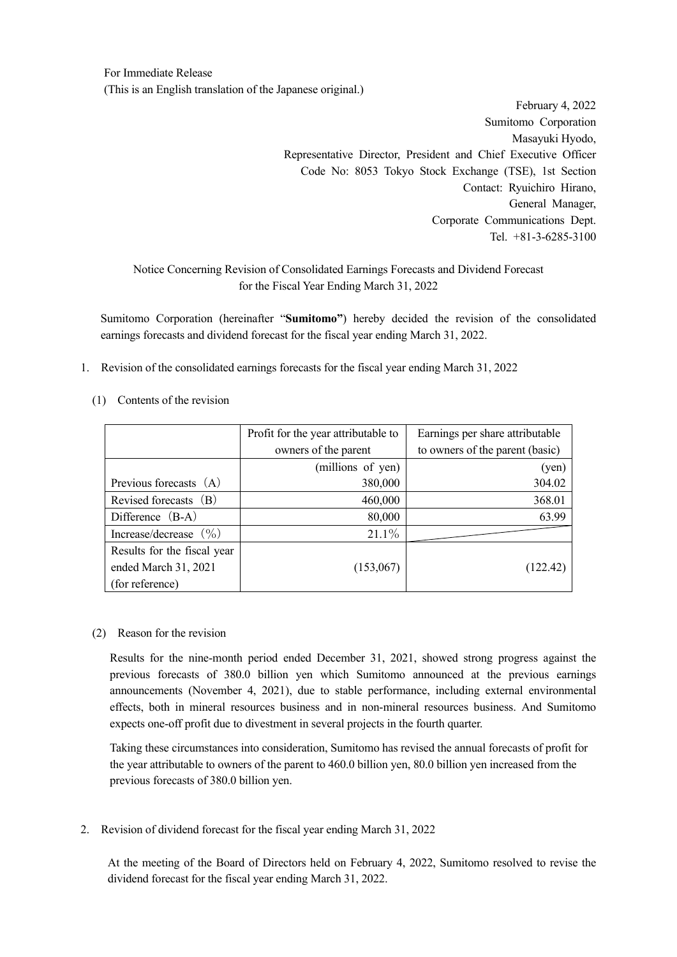For Immediate Release (This is an English translation of the Japanese original.)

> February 4, 2022 Sumitomo Corporation Masayuki Hyodo, Representative Director, President and Chief Executive Officer Code No: 8053 Tokyo Stock Exchange (TSE), 1st Section Contact: Ryuichiro Hirano, General Manager, Corporate Communications Dept. Tel. +81-3-6285-3100

## Notice Concerning Revision of Consolidated Earnings Forecasts and Dividend Forecast for the Fiscal Year Ending March 31, 2022

Sumitomo Corporation (hereinafter "**Sumitomo"**) hereby decided the revision of the consolidated earnings forecasts and dividend forecast for the fiscal year ending March 31, 2022.

- 1. Revision of the consolidated earnings forecasts for the fiscal year ending March 31, 2022
	- (1) Contents of the revision

|                                   | Profit for the year attributable to | Earnings per share attributable |  |
|-----------------------------------|-------------------------------------|---------------------------------|--|
|                                   | owners of the parent                | to owners of the parent (basic) |  |
|                                   | (millions of yen)                   | (yen)                           |  |
| Previous forecasts (A)            | 380,000                             | 304.02                          |  |
| Revised forecasts (B)             | 460,000                             | 368.01                          |  |
| Difference $(B-A)$                | 80,000                              | 63.99                           |  |
| Increase/decrease $(\frac{9}{0})$ | $21.1\%$                            |                                 |  |
| Results for the fiscal year       |                                     |                                 |  |
| ended March 31, 2021              | (153,067)                           | (122.42)                        |  |
| (for reference)                   |                                     |                                 |  |

## (2) Reason for the revision

Results for the nine-month period ended December 31, 2021, showed strong progress against the previous forecasts of 380.0 billion yen which Sumitomo announced at the previous earnings announcements (November 4, 2021), due to stable performance, including external environmental effects, both in mineral resources business and in non-mineral resources business. And Sumitomo expects one-off profit due to divestment in several projects in the fourth quarter.

Taking these circumstances into consideration, Sumitomo has revised the annual forecasts of profit for the year attributable to owners of the parent to 460.0 billion yen, 80.0 billion yen increased from the previous forecasts of 380.0 billion yen.

2. Revision of dividend forecast for the fiscal year ending March 31, 2022

 At the meeting of the Board of Directors held on February 4, 2022, Sumitomo resolved to revise the dividend forecast for the fiscal year ending March 31, 2022.